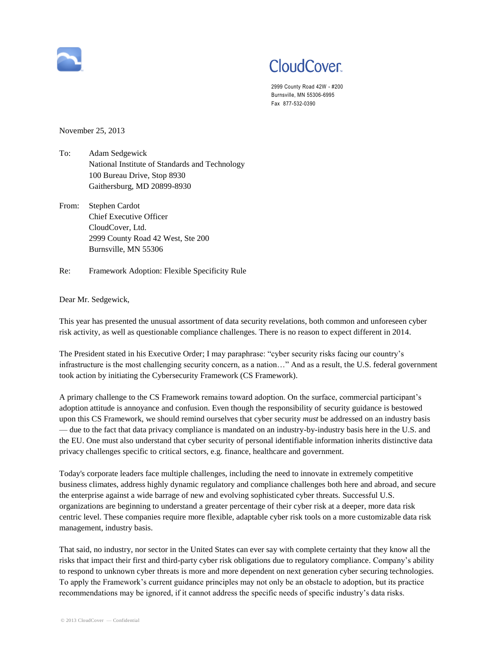

## **CloudCover**

2999 County Road 42W - #200 Burnsville, MN 55306-6995 Fax 877-532-0390

November 25, 2013

- To: Adam Sedgewick National Institute of Standards and Technology 100 Bureau Drive, Stop 8930 Gaithersburg, MD 20899-8930
- From: Stephen Cardot Chief Executive Officer CloudCover, Ltd. 2999 County Road 42 West, Ste 200 Burnsville, MN 55306
- Re: Framework Adoption: Flexible Specificity Rule

## Dear Mr. Sedgewick,

This year has presented the unusual assortment of data security revelations, both common and unforeseen cyber risk activity, as well as questionable compliance challenges. There is no reason to expect different in 2014.

The President stated in his Executive Order; I may paraphrase: "cyber security risks facing our country's infrastructure is the most challenging security concern, as a nation…" And as a result, the U.S. federal government took action by initiating the Cybersecurity Framework (CS Framework).

A primary challenge to the CS Framework remains toward adoption. On the surface, commercial participant's adoption attitude is annoyance and confusion. Even though the responsibility of security guidance is bestowed upon this CS Framework, we should remind ourselves that cyber security *must* be addressed on an industry basis — due to the fact that data privacy compliance is mandated on an industry-by-industry basis here in the U.S. and the EU. One must also understand that cyber security of personal identifiable information inherits distinctive data privacy challenges specific to critical sectors, e.g. finance, healthcare and government.

Today's corporate leaders face multiple challenges, including the need to innovate in extremely competitive business climates, address highly dynamic regulatory and compliance challenges both here and abroad, and secure the enterprise against a wide barrage of new and evolving sophisticated cyber threats. Successful U.S. organizations are beginning to understand a greater percentage of their cyber risk at a deeper, more data risk centric level. These companies require more flexible, adaptable cyber risk tools on a more customizable data risk management, industry basis.

That said, no industry, nor sector in the United States can ever say with complete certainty that they know all the risks that impact their first and third-party cyber risk obligations due to regulatory compliance. Company's ability to respond to unknown cyber threats is more and more dependent on next generation cyber securing technologies. To apply the Framework's current guidance principles may not only be an obstacle to adoption, but its practice recommendations may be ignored, if it cannot address the specific needs of specific industry's data risks.